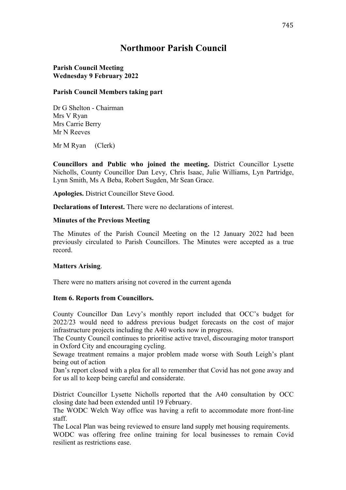# **Northmoor Parish Council**

### **Parish Council Meeting Wednesday 9 February 2022**

#### **Parish Council Members taking part**

Dr G Shelton - Chairman Mrs V Ryan Mrs Carrie Berry Mr N Reeves

Mr M Ryan (Clerk)

**Councillors and Public who joined the meeting.** District Councillor Lysette Nicholls, County Councillor Dan Levy, Chris Isaac, Julie Williams, Lyn Partridge, Lynn Smith, Ms A Beba, Robert Sugden, Mr Sean Grace.

**Apologies.** District Councillor Steve Good.

**Declarations of Interest.** There were no declarations of interest.

### **Minutes of the Previous Meeting**

The Minutes of the Parish Council Meeting on the 12 January 2022 had been previously circulated to Parish Councillors. The Minutes were accepted as a true record.

### **Matters Arising**.

There were no matters arising not covered in the current agenda

#### **Item 6. Reports from Councillors.**

County Councillor Dan Levy's monthly report included that OCC's budget for 2022/23 would need to address previous budget forecasts on the cost of major infrastructure projects including the A40 works now in progress.

The County Council continues to prioritise active travel, discouraging motor transport in Oxford City and encouraging cycling.

Sewage treatment remains a major problem made worse with South Leigh's plant being out of action

Dan's report closed with a plea for all to remember that Covid has not gone away and for us all to keep being careful and considerate.

District Councillor Lysette Nicholls reported that the A40 consultation by OCC closing date had been extended until 19 February.

The WODC Welch Way office was having a refit to accommodate more front-line staff.

The Local Plan was being reviewed to ensure land supply met housing requirements. WODC was offering free online training for local businesses to remain Covid resilient as restrictions ease.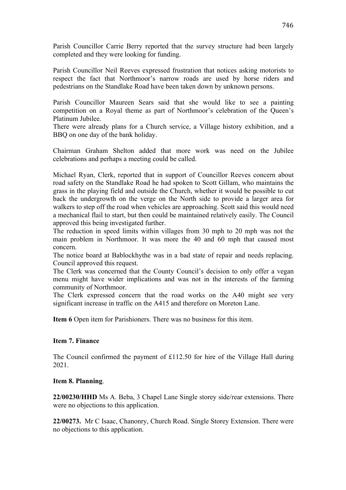Parish Councillor Carrie Berry reported that the survey structure had been largely completed and they were looking for funding.

Parish Councillor Neil Reeves expressed frustration that notices asking motorists to respect the fact that Northmoor's narrow roads are used by horse riders and pedestrians on the Standlake Road have been taken down by unknown persons.

Parish Councillor Maureen Sears said that she would like to see a painting competition on a Royal theme as part of Northmoor's celebration of the Queen's Platinum Jubilee.

There were already plans for a Church service, a Village history exhibition, and a BBQ on one day of the bank holiday.

Chairman Graham Shelton added that more work was need on the Jubilee celebrations and perhaps a meeting could be called.

Michael Ryan, Clerk, reported that in support of Councillor Reeves concern about road safety on the Standlake Road he had spoken to Scott Gillam, who maintains the grass in the playing field and outside the Church, whether it would be possible to cut back the undergrowth on the verge on the North side to provide a larger area for walkers to step off the road when vehicles are approaching. Scott said this would need a mechanical flail to start, but then could be maintained relatively easily. The Council approved this being investigated further.

The reduction in speed limits within villages from 30 mph to 20 mph was not the main problem in Northmoor. It was more the 40 and 60 mph that caused most concern.

The notice board at Bablockhythe was in a bad state of repair and needs replacing. Council approved this request.

The Clerk was concerned that the County Council's decision to only offer a vegan menu might have wider implications and was not in the interests of the farming community of Northmoor.

The Clerk expressed concern that the road works on the A40 might see very significant increase in traffic on the A415 and therefore on Moreton Lane.

**Item 6** Open item for Parishioners. There was no business for this item.

#### **Item 7. Finance**

The Council confirmed the payment of £112.50 for hire of the Village Hall during 2021.

#### **Item 8. Planning**.

**22/00230/HHD** Ms A. Beba, 3 Chapel Lane Single storey side/rear extensions. There were no objections to this application.

**22/00273.** Mr C Isaac, Chanonry, Church Road. Single Storey Extension. There were no objections to this application.